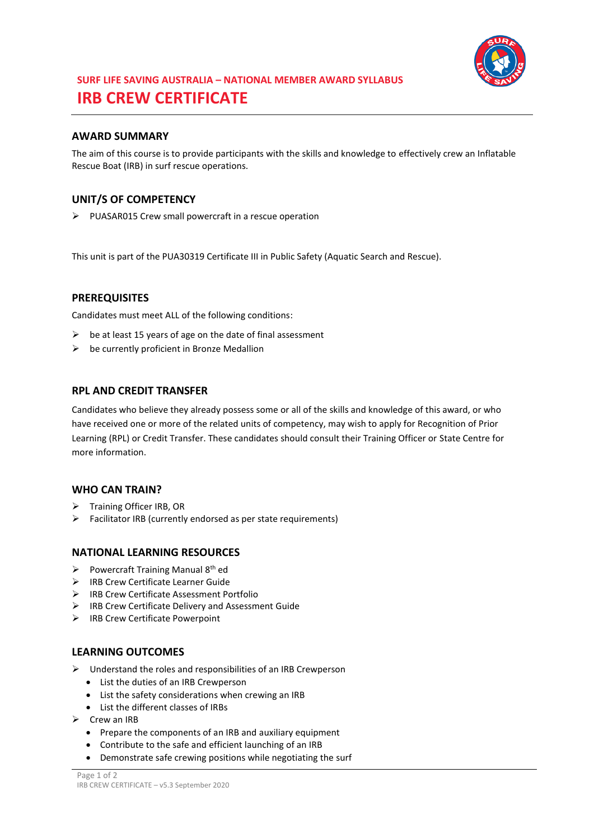

# **SURF LIFE SAVING AUSTRALIA – NATIONAL MEMBER AWARD SYLLABUS IRB CREW CERTIFICATE**

## **AWARD SUMMARY**

The aim of this course is to provide participants with the skills and knowledge to effectively crew an Inflatable Rescue Boat (IRB) in surf rescue operations.

## **UNIT/S OF COMPETENCY**

PUASAR015 Crew small powercraft in a rescue operation

This unit is part of the PUA30319 Certificate III in Public Safety (Aquatic Search and Rescue).

#### **PREREQUISITES**

Candidates must meet ALL of the following conditions:

- $\triangleright$  be at least 15 years of age on the date of final assessment
- $\triangleright$  be currently proficient in Bronze Medallion

#### **RPL AND CREDIT TRANSFER**

Candidates who believe they already possess some or all of the skills and knowledge of this award, or who have received one or more of the related units of competency, may wish to apply for Recognition of Prior Learning (RPL) or Credit Transfer. These candidates should consult their Training Officer or State Centre for more information.

#### **WHO CAN TRAIN?**

- > Training Officer IRB, OR
- $\triangleright$  Facilitator IRB (currently endorsed as per state requirements)

#### **NATIONAL LEARNING RESOURCES**

- Powercraft Training Manual  $8<sup>th</sup>$  ed
- > IRB Crew Certificate Learner Guide
- IRB Crew Certificate Assessment Portfolio
- $\triangleright$  IRB Crew Certificate Delivery and Assessment Guide
- $\triangleright$  IRB Crew Certificate Powerpoint

#### **LEARNING OUTCOMES**

- $\triangleright$  Understand the roles and responsibilities of an IRB Crewperson
	- List the duties of an IRB Crewperson
	- List the safety considerations when crewing an IRB
	- List the different classes of IRBs
- $\triangleright$  Crew an IRB
	- Prepare the components of an IRB and auxiliary equipment
	- Contribute to the safe and efficient launching of an IRB
	- Demonstrate safe crewing positions while negotiating the surf